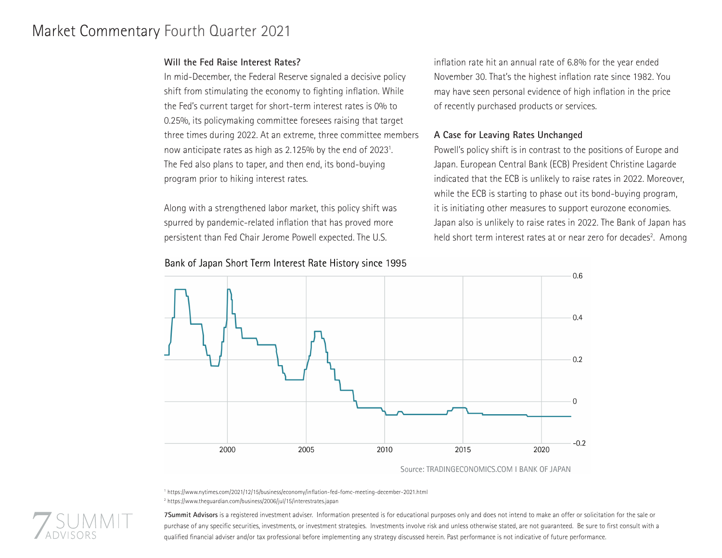# Market Commentary Fourth Quarter 2021

## **Will the Fed Raise Interest Rates?**

In mid-December, the Federal Reserve signaled a decisive policy shift from stimulating the economy to fighting inflation. While the Fed's current target for short-term interest rates is 0% to 0.25%, its policymaking committee foresees raising that target three times during 2022. At an extreme, three committee members now anticipate rates as high as 2.125% by the end of 2023<sup>1</sup>. The Fed also plans to taper, and then end, its bond-buying program prior to hiking interest rates.

Along with a strengthened labor market, this policy shift was spurred by pandemic-related inflation that has proved more persistent than Fed Chair Jerome Powell expected. The U.S.

inflation rate hit an annual rate of 6.8% for the year ended November 30. That's the highest inflation rate since 1982. You may have seen personal evidence of high inflation in the price of recently purchased products or services.

## **A Case for Leaving Rates Unchanged**

Powell's policy shift is in contrast to the positions of Europe and Japan. European Central Bank (ECB) President Christine Lagarde indicated that the ECB is unlikely to raise rates in 2022. Moreover, while the ECB is starting to phase out its bond-buying program, it is initiating other measures to support eurozone economies. Japan also is unlikely to raise rates in 2022. The Bank of Japan has held short term interest rates at or near zero for decades<sup>2</sup>. Among



Source: TRADINGECONOMICS.COM I BANK OF JAPAN

1 https://www.nytimes.com/2021/12/15/business/economy/inflation-fed-fomc-meeting-december-2021.html 2 https://www.theguardian.com/business/2006/jul/15/interestrates.japan



**7Summit Advisors** is a registered investment adviser. Information presented is for educational purposes only and does not intend to make an offer or solicitation for the sale or purchase of any specific securities, investments, or investment strategies. Investments involve risk and unless otherwise stated, are not guaranteed. Be sure to first consult with a qualified financial adviser and/or tax professional before implementing any strategy discussed herein. Past performance is not indicative of future performance.

# Bank of Japan Short Term Interest Rate History since 1995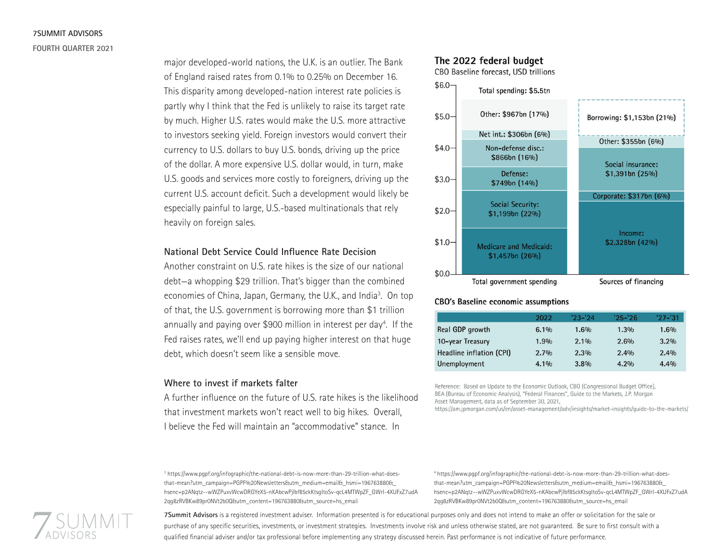# **7SUMMIT ADVISORS FOURTH QUARTER 2021**

major developed-world nations, the U.K. is an outlier. The Bank of England raised rates from 0.1% to 0.25% on December 16. This disparity among developed-nation interest rate policies is partly why I think that the Fed is unlikely to raise its target rate by much. Higher U.S. rates would make the U.S. more attractive to investors seeking yield. Foreign investors would convert their currency to U.S. dollars to buy U.S. bonds, driving up the price of the dollar. A more expensive U.S. dollar would, in turn, make U.S. goods and services more costly to foreigners, driving up the current U.S. account deficit. Such a development would likely be especially painful to large, U.S.-based multinationals that rely heavily on foreign sales.

#### **National Debt Service Could Influence Rate Decision**

Another constraint on U.S. rate hikes is the size of our national debt—a whopping \$29 trillion. That's bigger than the combined economies of China, Japan, Germany, the U.K., and India<sup>3</sup>. On top of that, the U.S. government is borrowing more than \$1 trillion annually and paying over \$900 million in interest per day<sup>4</sup>. If the Fed raises rates, we'll end up paying higher interest on that huge debt, which doesn't seem like a sensible move.

#### **Where to invest if markets falter**

A further influence on the future of U.S. rate hikes is the likelihood that investment markets won't react well to big hikes. Overall, I believe the Fed will maintain an "accommodative" stance. In

# The 2022 federal budget

CBO Baseline forecast, USD trillions



#### **CBO's Baseline economic assumptions**

|                          | 2022    | $'23 - 24$ | $'25 - '26$ | $'27 - '31$ |
|--------------------------|---------|------------|-------------|-------------|
| Real GDP growth          | $6.1\%$ | 1.6%       | $1.3\%$     | 1.6%        |
| 10-year Treasury         | 1.9%    | $2.1\%$    | $2.6\%$     | $3.2\%$     |
| Headline inflation (CPI) | $2.7\%$ | 2.3%       | $2.4\%$     | 2.4%        |
| <b>Unemployment</b>      | $4.1\%$ | 3.8%       | $4.2\%$     | 4.4%        |

Reference: Based on Update to the Economic Outlook, CBO (Congressional Budget Office), BEA (Bureau of Economic Analysis), "Federal Finances", Guide to the Markets, J.P. Morgan Asset Management, data as of September 30, 2021,

https://am.jpmorgan.com/us/en/asset-management/adv/insights/market-insights/guide-to-the-markets/

3 https://www.pgpf.org/infographic/the-national-debt-is-now-more-than-29-trillion-what-doesthat-mean?utm\_campaign=PGPF%20Newsletters&utm\_medium=email&\_hsmi=196763880&\_ hsenc=p2ANqtz--wWZPuxvWcwDRGYeX5-nKAbcwPjIbf85ckKtsgItoSv-qcL4MTWpZF\_GWrI-4XUFxZ7udA 2qq8zRVBKw89pr0NVt2b0Q&tutm\_content=196763880&utm\_source=hs\_email

4 https://www.pgpf.org/infographic/the-national-debt-is-now-more-than-29-trillion-what-doesthat-mean?utm\_campaign=PGPF%20Newsletters&utm\_medium=email&\_hsmi=196763880&\_ hsenc=p2ANqtz--wWZPuxvWcwDRGYeX5-nKAbcwPjIbf85ckKtsgItoSv-qcL4MTWpZF\_GWrI-4XUFxZ7udA 2qq8zRVBKw89pr0NVt2b0Q&tutm\_content=196763880&utm\_source=hs\_email



**7Summit Advisors** is a registered investment adviser. Information presented is for educational purposes only and does not intend to make an offer or solicitation for the sale or purchase of any specific securities, investments, or investment strategies. Investments involve risk and unless otherwise stated, are not guaranteed. Be sure to first consult with a qualified financial adviser and/or tax professional before implementing any strategy discussed herein. Past performance is not indicative of future performance.